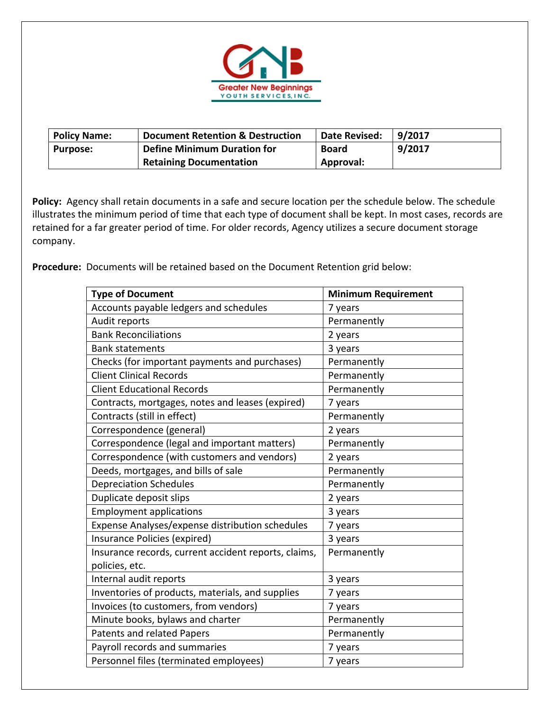

| <b>Policy Name:</b> | <b>Document Retention &amp; Destruction</b> | Date Revised: | 9/2017 |
|---------------------|---------------------------------------------|---------------|--------|
| <b>Purpose:</b>     | Define Minimum Duration for                 | <b>Board</b>  | 9/2017 |
|                     | Retaining Documentation                     | Approval:     |        |

Policy: Agency shall retain documents in a safe and secure location per the schedule below. The schedule illustrates the minimum period of time that each type of document shall be kept. In most cases, records are retained for a far greater period of time. For older records, Agency utilizes a secure document storage company.

Procedure: Documents will be retained based on the Document Retention grid below:

| <b>Type of Document</b>                              | <b>Minimum Requirement</b> |
|------------------------------------------------------|----------------------------|
| Accounts payable ledgers and schedules               | 7 years                    |
| Audit reports                                        | Permanently                |
| <b>Bank Reconciliations</b>                          | 2 years                    |
| <b>Bank statements</b>                               | 3 years                    |
| Checks (for important payments and purchases)        | Permanently                |
| <b>Client Clinical Records</b>                       | Permanently                |
| <b>Client Educational Records</b>                    | Permanently                |
| Contracts, mortgages, notes and leases (expired)     | 7 years                    |
| Contracts (still in effect)                          | Permanently                |
| Correspondence (general)                             | 2 years                    |
| Correspondence (legal and important matters)         | Permanently                |
| Correspondence (with customers and vendors)          | 2 years                    |
| Deeds, mortgages, and bills of sale                  | Permanently                |
| <b>Depreciation Schedules</b>                        | Permanently                |
| Duplicate deposit slips                              | 2 years                    |
| <b>Employment applications</b>                       | 3 years                    |
| Expense Analyses/expense distribution schedules      | 7 years                    |
| Insurance Policies (expired)                         | 3 years                    |
| Insurance records, current accident reports, claims, | Permanently                |
| policies, etc.                                       |                            |
| Internal audit reports                               | 3 years                    |
| Inventories of products, materials, and supplies     | 7 years                    |
| Invoices (to customers, from vendors)                | 7 years                    |
| Minute books, bylaws and charter                     | Permanently                |
| Patents and related Papers                           | Permanently                |
| Payroll records and summaries                        | 7 years                    |
| Personnel files (terminated employees)               | 7 years                    |